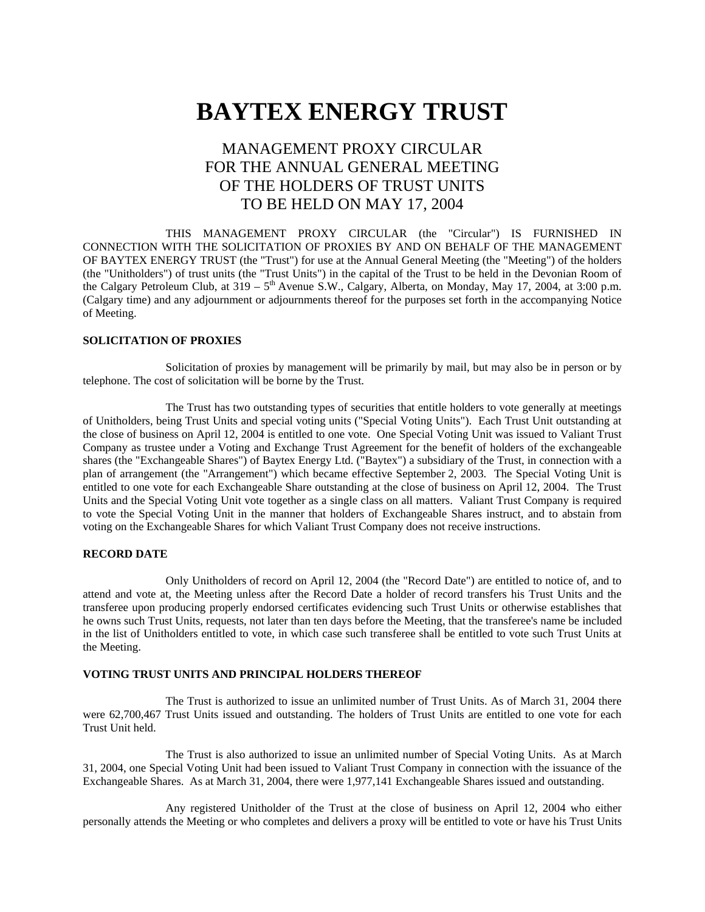# **BAYTEX ENERGY TRUST**

# MANAGEMENT PROXY CIRCULAR FOR THE ANNUAL GENERAL MEETING OF THE HOLDERS OF TRUST UNITS TO BE HELD ON MAY 17, 2004

THIS MANAGEMENT PROXY CIRCULAR (the "Circular") IS FURNISHED IN CONNECTION WITH THE SOLICITATION OF PROXIES BY AND ON BEHALF OF THE MANAGEMENT OF BAYTEX ENERGY TRUST (the "Trust") for use at the Annual General Meeting (the "Meeting") of the holders (the "Unitholders") of trust units (the "Trust Units") in the capital of the Trust to be held in the Devonian Room of the Calgary Petroleum Club, at  $319 - 5<sup>th</sup>$  Avenue S.W., Calgary, Alberta, on Monday, May 17, 2004, at 3:00 p.m. (Calgary time) and any adjournment or adjournments thereof for the purposes set forth in the accompanying Notice of Meeting.

#### **SOLICITATION OF PROXIES**

Solicitation of proxies by management will be primarily by mail, but may also be in person or by telephone. The cost of solicitation will be borne by the Trust.

The Trust has two outstanding types of securities that entitle holders to vote generally at meetings of Unitholders, being Trust Units and special voting units ("Special Voting Units"). Each Trust Unit outstanding at the close of business on April 12, 2004 is entitled to one vote. One Special Voting Unit was issued to Valiant Trust Company as trustee under a Voting and Exchange Trust Agreement for the benefit of holders of the exchangeable shares (the "Exchangeable Shares") of Baytex Energy Ltd. ("Baytex") a subsidiary of the Trust, in connection with a plan of arrangement (the "Arrangement") which became effective September 2, 2003. The Special Voting Unit is entitled to one vote for each Exchangeable Share outstanding at the close of business on April 12, 2004. The Trust Units and the Special Voting Unit vote together as a single class on all matters. Valiant Trust Company is required to vote the Special Voting Unit in the manner that holders of Exchangeable Shares instruct, and to abstain from voting on the Exchangeable Shares for which Valiant Trust Company does not receive instructions.

#### **RECORD DATE**

Only Unitholders of record on April 12, 2004 (the "Record Date") are entitled to notice of, and to attend and vote at, the Meeting unless after the Record Date a holder of record transfers his Trust Units and the transferee upon producing properly endorsed certificates evidencing such Trust Units or otherwise establishes that he owns such Trust Units, requests, not later than ten days before the Meeting, that the transferee's name be included in the list of Unitholders entitled to vote, in which case such transferee shall be entitled to vote such Trust Units at the Meeting.

#### **VOTING TRUST UNITS AND PRINCIPAL HOLDERS THEREOF**

The Trust is authorized to issue an unlimited number of Trust Units. As of March 31, 2004 there were 62,700,467 Trust Units issued and outstanding. The holders of Trust Units are entitled to one vote for each Trust Unit held.

The Trust is also authorized to issue an unlimited number of Special Voting Units. As at March 31, 2004, one Special Voting Unit had been issued to Valiant Trust Company in connection with the issuance of the Exchangeable Shares. As at March 31, 2004, there were 1,977,141 Exchangeable Shares issued and outstanding.

Any registered Unitholder of the Trust at the close of business on April 12, 2004 who either personally attends the Meeting or who completes and delivers a proxy will be entitled to vote or have his Trust Units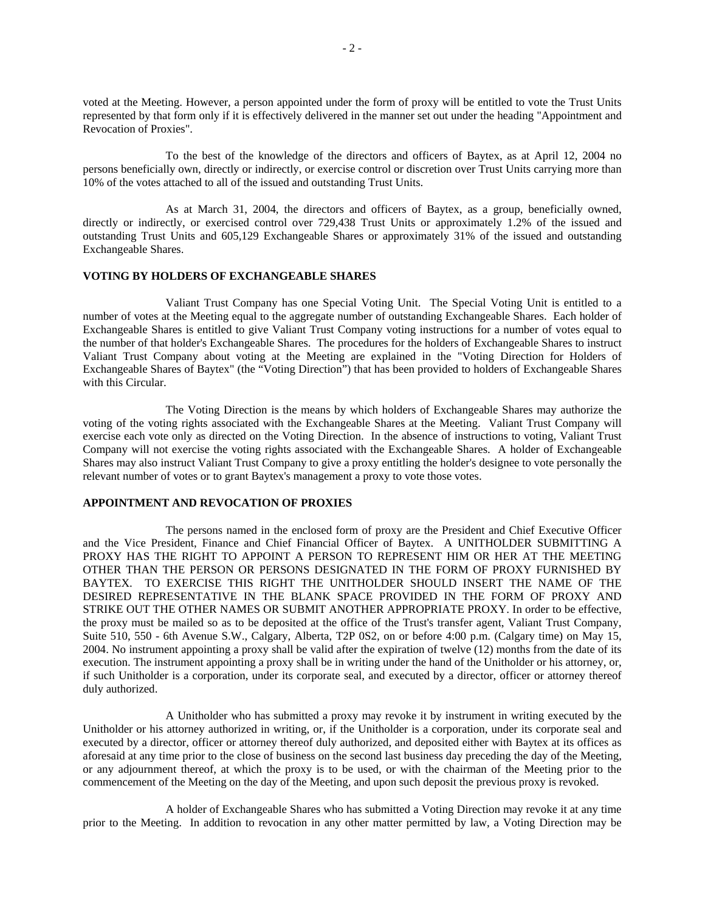voted at the Meeting. However, a person appointed under the form of proxy will be entitled to vote the Trust Units represented by that form only if it is effectively delivered in the manner set out under the heading "Appointment and Revocation of Proxies".

To the best of the knowledge of the directors and officers of Baytex, as at April 12, 2004 no persons beneficially own, directly or indirectly, or exercise control or discretion over Trust Units carrying more than 10% of the votes attached to all of the issued and outstanding Trust Units.

As at March 31, 2004, the directors and officers of Baytex, as a group, beneficially owned, directly or indirectly, or exercised control over 729,438 Trust Units or approximately 1.2% of the issued and outstanding Trust Units and 605,129 Exchangeable Shares or approximately 31% of the issued and outstanding Exchangeable Shares.

#### **VOTING BY HOLDERS OF EXCHANGEABLE SHARES**

Valiant Trust Company has one Special Voting Unit. The Special Voting Unit is entitled to a number of votes at the Meeting equal to the aggregate number of outstanding Exchangeable Shares. Each holder of Exchangeable Shares is entitled to give Valiant Trust Company voting instructions for a number of votes equal to the number of that holder's Exchangeable Shares. The procedures for the holders of Exchangeable Shares to instruct Valiant Trust Company about voting at the Meeting are explained in the "Voting Direction for Holders of Exchangeable Shares of Baytex" (the "Voting Direction") that has been provided to holders of Exchangeable Shares with this Circular.

The Voting Direction is the means by which holders of Exchangeable Shares may authorize the voting of the voting rights associated with the Exchangeable Shares at the Meeting. Valiant Trust Company will exercise each vote only as directed on the Voting Direction. In the absence of instructions to voting, Valiant Trust Company will not exercise the voting rights associated with the Exchangeable Shares. A holder of Exchangeable Shares may also instruct Valiant Trust Company to give a proxy entitling the holder's designee to vote personally the relevant number of votes or to grant Baytex's management a proxy to vote those votes.

#### **APPOINTMENT AND REVOCATION OF PROXIES**

The persons named in the enclosed form of proxy are the President and Chief Executive Officer and the Vice President, Finance and Chief Financial Officer of Baytex. A UNITHOLDER SUBMITTING A PROXY HAS THE RIGHT TO APPOINT A PERSON TO REPRESENT HIM OR HER AT THE MEETING OTHER THAN THE PERSON OR PERSONS DESIGNATED IN THE FORM OF PROXY FURNISHED BY BAYTEX. TO EXERCISE THIS RIGHT THE UNITHOLDER SHOULD INSERT THE NAME OF THE DESIRED REPRESENTATIVE IN THE BLANK SPACE PROVIDED IN THE FORM OF PROXY AND STRIKE OUT THE OTHER NAMES OR SUBMIT ANOTHER APPROPRIATE PROXY. In order to be effective, the proxy must be mailed so as to be deposited at the office of the Trust's transfer agent, Valiant Trust Company, Suite 510, 550 - 6th Avenue S.W., Calgary, Alberta, T2P 0S2, on or before 4:00 p.m. (Calgary time) on May 15, 2004. No instrument appointing a proxy shall be valid after the expiration of twelve (12) months from the date of its execution. The instrument appointing a proxy shall be in writing under the hand of the Unitholder or his attorney, or, if such Unitholder is a corporation, under its corporate seal, and executed by a director, officer or attorney thereof duly authorized.

A Unitholder who has submitted a proxy may revoke it by instrument in writing executed by the Unitholder or his attorney authorized in writing, or, if the Unitholder is a corporation, under its corporate seal and executed by a director, officer or attorney thereof duly authorized, and deposited either with Baytex at its offices as aforesaid at any time prior to the close of business on the second last business day preceding the day of the Meeting, or any adjournment thereof, at which the proxy is to be used, or with the chairman of the Meeting prior to the commencement of the Meeting on the day of the Meeting, and upon such deposit the previous proxy is revoked.

A holder of Exchangeable Shares who has submitted a Voting Direction may revoke it at any time prior to the Meeting. In addition to revocation in any other matter permitted by law, a Voting Direction may be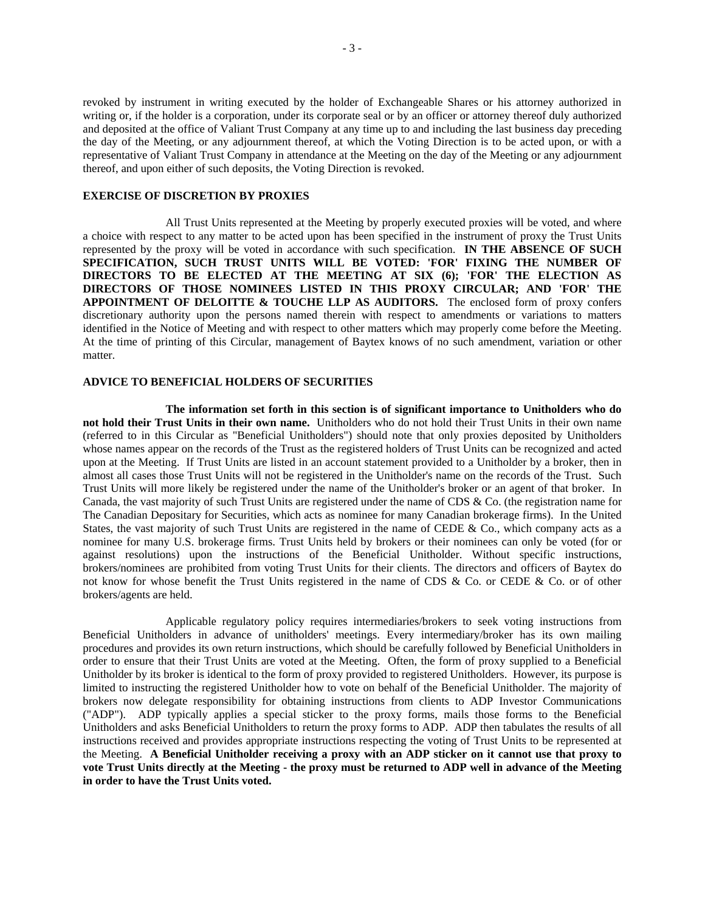revoked by instrument in writing executed by the holder of Exchangeable Shares or his attorney authorized in writing or, if the holder is a corporation, under its corporate seal or by an officer or attorney thereof duly authorized and deposited at the office of Valiant Trust Company at any time up to and including the last business day preceding the day of the Meeting, or any adjournment thereof, at which the Voting Direction is to be acted upon, or with a representative of Valiant Trust Company in attendance at the Meeting on the day of the Meeting or any adjournment thereof, and upon either of such deposits, the Voting Direction is revoked.

#### **EXERCISE OF DISCRETION BY PROXIES**

All Trust Units represented at the Meeting by properly executed proxies will be voted, and where a choice with respect to any matter to be acted upon has been specified in the instrument of proxy the Trust Units represented by the proxy will be voted in accordance with such specification. **IN THE ABSENCE OF SUCH SPECIFICATION, SUCH TRUST UNITS WILL BE VOTED: 'FOR' FIXING THE NUMBER OF DIRECTORS TO BE ELECTED AT THE MEETING AT SIX (6); 'FOR' THE ELECTION AS DIRECTORS OF THOSE NOMINEES LISTED IN THIS PROXY CIRCULAR; AND 'FOR' THE APPOINTMENT OF DELOITTE & TOUCHE LLP AS AUDITORS.** The enclosed form of proxy confers discretionary authority upon the persons named therein with respect to amendments or variations to matters identified in the Notice of Meeting and with respect to other matters which may properly come before the Meeting. At the time of printing of this Circular, management of Baytex knows of no such amendment, variation or other matter.

#### **ADVICE TO BENEFICIAL HOLDERS OF SECURITIES**

**The information set forth in this section is of significant importance to Unitholders who do not hold their Trust Units in their own name.** Unitholders who do not hold their Trust Units in their own name (referred to in this Circular as "Beneficial Unitholders") should note that only proxies deposited by Unitholders whose names appear on the records of the Trust as the registered holders of Trust Units can be recognized and acted upon at the Meeting. If Trust Units are listed in an account statement provided to a Unitholder by a broker, then in almost all cases those Trust Units will not be registered in the Unitholder's name on the records of the Trust. Such Trust Units will more likely be registered under the name of the Unitholder's broker or an agent of that broker. In Canada, the vast majority of such Trust Units are registered under the name of CDS & Co. (the registration name for The Canadian Depositary for Securities, which acts as nominee for many Canadian brokerage firms). In the United States, the vast majority of such Trust Units are registered in the name of CEDE & Co., which company acts as a nominee for many U.S. brokerage firms. Trust Units held by brokers or their nominees can only be voted (for or against resolutions) upon the instructions of the Beneficial Unitholder. Without specific instructions, brokers/nominees are prohibited from voting Trust Units for their clients. The directors and officers of Baytex do not know for whose benefit the Trust Units registered in the name of CDS & Co. or CEDE & Co. or of other brokers/agents are held.

Applicable regulatory policy requires intermediaries/brokers to seek voting instructions from Beneficial Unitholders in advance of unitholders' meetings. Every intermediary/broker has its own mailing procedures and provides its own return instructions, which should be carefully followed by Beneficial Unitholders in order to ensure that their Trust Units are voted at the Meeting. Often, the form of proxy supplied to a Beneficial Unitholder by its broker is identical to the form of proxy provided to registered Unitholders. However, its purpose is limited to instructing the registered Unitholder how to vote on behalf of the Beneficial Unitholder. The majority of brokers now delegate responsibility for obtaining instructions from clients to ADP Investor Communications ("ADP"). ADP typically applies a special sticker to the proxy forms, mails those forms to the Beneficial Unitholders and asks Beneficial Unitholders to return the proxy forms to ADP. ADP then tabulates the results of all instructions received and provides appropriate instructions respecting the voting of Trust Units to be represented at the Meeting. **A Beneficial Unitholder receiving a proxy with an ADP sticker on it cannot use that proxy to vote Trust Units directly at the Meeting - the proxy must be returned to ADP well in advance of the Meeting in order to have the Trust Units voted.**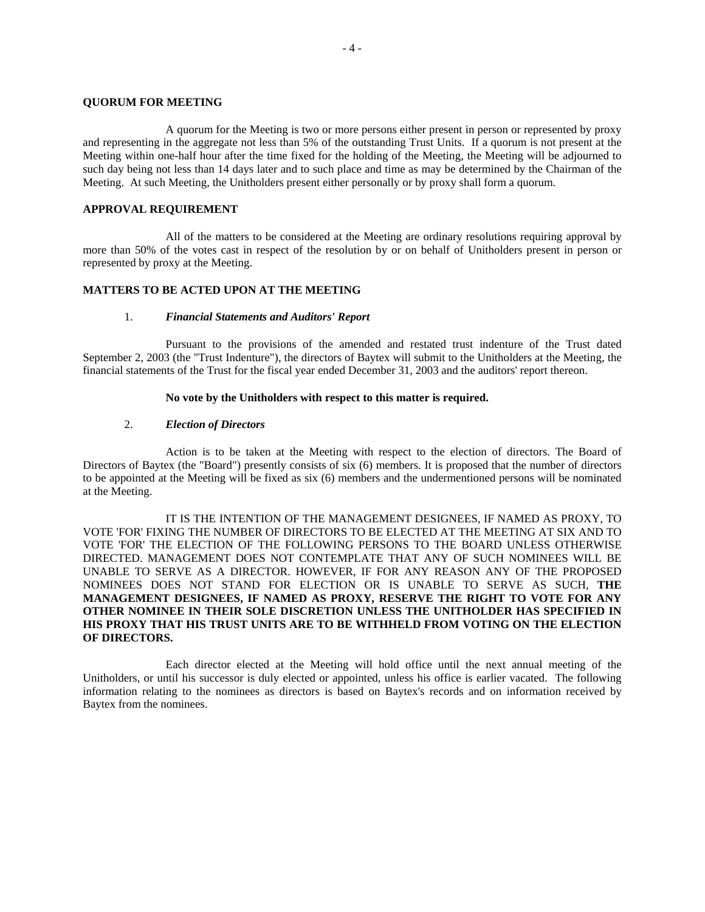#### **QUORUM FOR MEETING**

A quorum for the Meeting is two or more persons either present in person or represented by proxy and representing in the aggregate not less than 5% of the outstanding Trust Units. If a quorum is not present at the Meeting within one-half hour after the time fixed for the holding of the Meeting, the Meeting will be adjourned to such day being not less than 14 days later and to such place and time as may be determined by the Chairman of the Meeting. At such Meeting, the Unitholders present either personally or by proxy shall form a quorum.

#### **APPROVAL REQUIREMENT**

All of the matters to be considered at the Meeting are ordinary resolutions requiring approval by more than 50% of the votes cast in respect of the resolution by or on behalf of Unitholders present in person or represented by proxy at the Meeting.

#### **MATTERS TO BE ACTED UPON AT THE MEETING**

#### 1. *Financial Statements and Auditors' Report*

Pursuant to the provisions of the amended and restated trust indenture of the Trust dated September 2, 2003 (the "Trust Indenture"), the directors of Baytex will submit to the Unitholders at the Meeting, the financial statements of the Trust for the fiscal year ended December 31, 2003 and the auditors' report thereon.

#### **No vote by the Unitholders with respect to this matter is required.**

#### 2. *Election of Directors*

Action is to be taken at the Meeting with respect to the election of directors. The Board of Directors of Baytex (the "Board") presently consists of six (6) members. It is proposed that the number of directors to be appointed at the Meeting will be fixed as six (6) members and the undermentioned persons will be nominated at the Meeting.

IT IS THE INTENTION OF THE MANAGEMENT DESIGNEES, IF NAMED AS PROXY, TO VOTE 'FOR' FIXING THE NUMBER OF DIRECTORS TO BE ELECTED AT THE MEETING AT SIX AND TO VOTE 'FOR' THE ELECTION OF THE FOLLOWING PERSONS TO THE BOARD UNLESS OTHERWISE DIRECTED. MANAGEMENT DOES NOT CONTEMPLATE THAT ANY OF SUCH NOMINEES WILL BE UNABLE TO SERVE AS A DIRECTOR. HOWEVER, IF FOR ANY REASON ANY OF THE PROPOSED NOMINEES DOES NOT STAND FOR ELECTION OR IS UNABLE TO SERVE AS SUCH, **THE MANAGEMENT DESIGNEES, IF NAMED AS PROXY, RESERVE THE RIGHT TO VOTE FOR ANY OTHER NOMINEE IN THEIR SOLE DISCRETION UNLESS THE UNITHOLDER HAS SPECIFIED IN HIS PROXY THAT HIS TRUST UNITS ARE TO BE WITHHELD FROM VOTING ON THE ELECTION OF DIRECTORS.**

Each director elected at the Meeting will hold office until the next annual meeting of the Unitholders, or until his successor is duly elected or appointed, unless his office is earlier vacated. The following information relating to the nominees as directors is based on Baytex's records and on information received by Baytex from the nominees.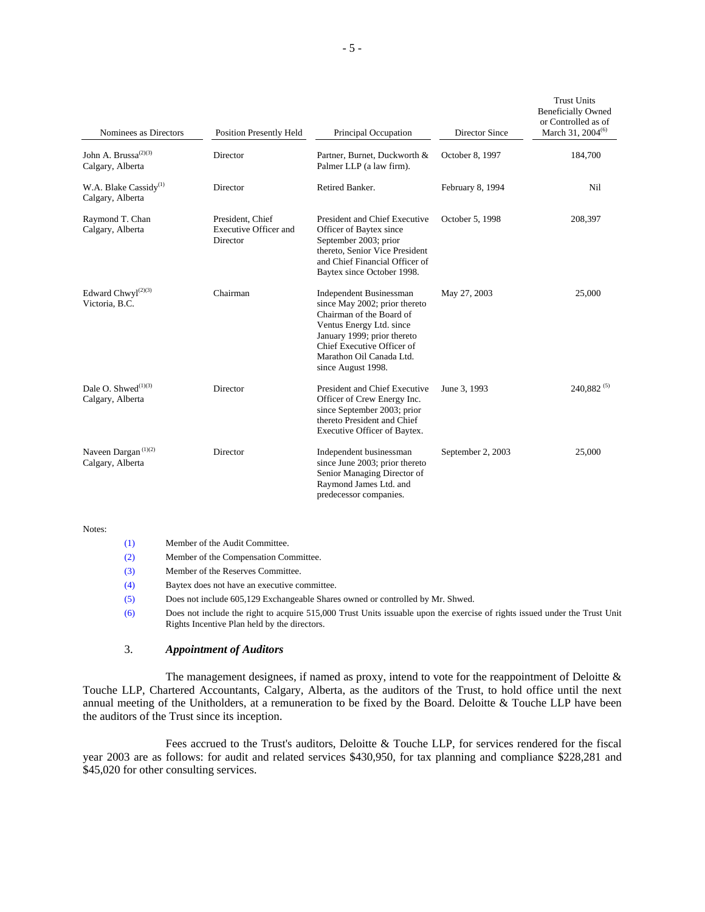| Nominees as Directors                                             | <b>Position Presently Held</b>                               | Principal Occupation                                                                                                                                                                                                                   | <b>Director Since</b> | <b>Trust Units</b><br><b>Beneficially Owned</b><br>or Controlled as of<br>March 31, 2004 <sup>(6)</sup> |
|-------------------------------------------------------------------|--------------------------------------------------------------|----------------------------------------------------------------------------------------------------------------------------------------------------------------------------------------------------------------------------------------|-----------------------|---------------------------------------------------------------------------------------------------------|
| John A. Brussa <sup><math>(2)(3)</math></sup><br>Calgary, Alberta | Director                                                     | Partner, Burnet, Duckworth &<br>Palmer LLP (a law firm).                                                                                                                                                                               | October 8, 1997       | 184,700                                                                                                 |
| W.A. Blake Cassidy <sup>(1)</sup><br>Calgary, Alberta             | Director                                                     | Retired Banker.                                                                                                                                                                                                                        | February 8, 1994      | Nil                                                                                                     |
| Raymond T. Chan<br>Calgary, Alberta                               | President, Chief<br><b>Executive Officer and</b><br>Director | President and Chief Executive<br>Officer of Baytex since<br>September 2003; prior<br>thereto, Senior Vice President<br>and Chief Financial Officer of<br>Baytex since October 1998.                                                    | October 5, 1998       | 208,397                                                                                                 |
| Edward Chwyl $(2)(3)$<br>Victoria, B.C.                           | Chairman                                                     | <b>Independent Businessman</b><br>since May 2002; prior thereto<br>Chairman of the Board of<br>Ventus Energy Ltd. since<br>January 1999; prior thereto<br>Chief Executive Officer of<br>Marathon Oil Canada Ltd.<br>since August 1998. | May 27, 2003          | 25,000                                                                                                  |
| Dale O. Shwed $^{(1)(3)}$<br>Calgary, Alberta                     | Director                                                     | President and Chief Executive<br>Officer of Crew Energy Inc.<br>since September 2003; prior<br>thereto President and Chief<br>Executive Officer of Baytex.                                                                             | June 3, 1993          | $240.882^{(5)}$                                                                                         |
| Naveen Dargan $(1)(2)$<br>Calgary, Alberta                        | Director                                                     | Independent businessman<br>since June 2003; prior thereto<br>Senior Managing Director of<br>Raymond James Ltd. and<br>predecessor companies.                                                                                           | September 2, 2003     | 25,000                                                                                                  |

#### Notes:

| (1) | Member of the Audit Committee.                                                                                                                                             |
|-----|----------------------------------------------------------------------------------------------------------------------------------------------------------------------------|
| (2) | Member of the Compensation Committee.                                                                                                                                      |
| (3) | Member of the Reserves Committee.                                                                                                                                          |
| (4) | Baytex does not have an executive committee.                                                                                                                               |
| (5) | Does not include 605,129 Exchangeable Shares owned or controlled by Mr. Shwed.                                                                                             |
| (6) | Does not include the right to acquire 515,000 Trust Units issuable upon the exercise of rights issued under the Trust Unit<br>Rights Incentive Plan held by the directors. |

#### 3. *Appointment of Auditors*

The management designees, if named as proxy, intend to vote for the reappointment of Deloitte  $\&$ Touche LLP, Chartered Accountants, Calgary, Alberta, as the auditors of the Trust, to hold office until the next annual meeting of the Unitholders, at a remuneration to be fixed by the Board. Deloitte & Touche LLP have been the auditors of the Trust since its inception.

Fees accrued to the Trust's auditors, Deloitte & Touche LLP, for services rendered for the fiscal year 2003 are as follows: for audit and related services \$430,950, for tax planning and compliance \$228,281 and \$45,020 for other consulting services.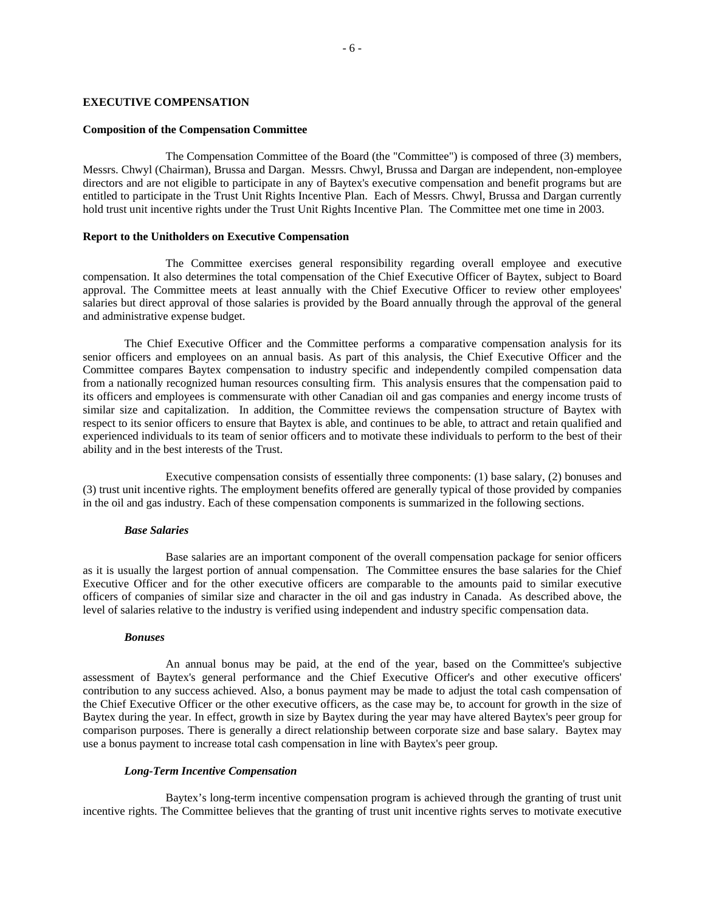#### **EXECUTIVE COMPENSATION**

# **Composition of the Compensation Committee**

The Compensation Committee of the Board (the "Committee") is composed of three (3) members, Messrs. Chwyl (Chairman), Brussa and Dargan. Messrs. Chwyl, Brussa and Dargan are independent, non-employee directors and are not eligible to participate in any of Baytex's executive compensation and benefit programs but are entitled to participate in the Trust Unit Rights Incentive Plan. Each of Messrs. Chwyl, Brussa and Dargan currently hold trust unit incentive rights under the Trust Unit Rights Incentive Plan. The Committee met one time in 2003.

#### **Report to the Unitholders on Executive Compensation**

The Committee exercises general responsibility regarding overall employee and executive compensation. It also determines the total compensation of the Chief Executive Officer of Baytex, subject to Board approval. The Committee meets at least annually with the Chief Executive Officer to review other employees' salaries but direct approval of those salaries is provided by the Board annually through the approval of the general and administrative expense budget.

 The Chief Executive Officer and the Committee performs a comparative compensation analysis for its senior officers and employees on an annual basis. As part of this analysis, the Chief Executive Officer and the Committee compares Baytex compensation to industry specific and independently compiled compensation data from a nationally recognized human resources consulting firm. This analysis ensures that the compensation paid to its officers and employees is commensurate with other Canadian oil and gas companies and energy income trusts of similar size and capitalization. In addition, the Committee reviews the compensation structure of Baytex with respect to its senior officers to ensure that Baytex is able, and continues to be able, to attract and retain qualified and experienced individuals to its team of senior officers and to motivate these individuals to perform to the best of their ability and in the best interests of the Trust.

Executive compensation consists of essentially three components: (1) base salary, (2) bonuses and (3) trust unit incentive rights. The employment benefits offered are generally typical of those provided by companies in the oil and gas industry. Each of these compensation components is summarized in the following sections.

#### *Base Salaries*

Base salaries are an important component of the overall compensation package for senior officers as it is usually the largest portion of annual compensation. The Committee ensures the base salaries for the Chief Executive Officer and for the other executive officers are comparable to the amounts paid to similar executive officers of companies of similar size and character in the oil and gas industry in Canada. As described above, the level of salaries relative to the industry is verified using independent and industry specific compensation data.

#### *Bonuses*

An annual bonus may be paid, at the end of the year, based on the Committee's subjective assessment of Baytex's general performance and the Chief Executive Officer's and other executive officers' contribution to any success achieved. Also, a bonus payment may be made to adjust the total cash compensation of the Chief Executive Officer or the other executive officers, as the case may be, to account for growth in the size of Baytex during the year. In effect, growth in size by Baytex during the year may have altered Baytex's peer group for comparison purposes. There is generally a direct relationship between corporate size and base salary. Baytex may use a bonus payment to increase total cash compensation in line with Baytex's peer group.

#### *Long-Term Incentive Compensation*

Baytex's long-term incentive compensation program is achieved through the granting of trust unit incentive rights. The Committee believes that the granting of trust unit incentive rights serves to motivate executive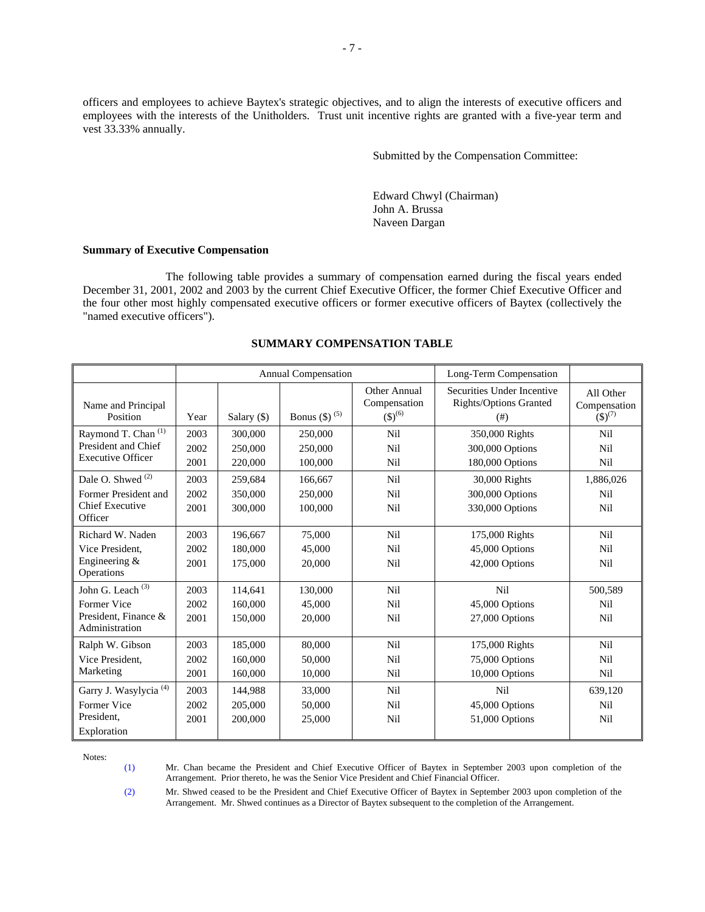officers and employees to achieve Baytex's strategic objectives, and to align the interests of executive officers and employees with the interests of the Unitholders. Trust unit incentive rights are granted with a five-year term and vest 33.33% annually.

Submitted by the Compensation Committee:

Edward Chwyl (Chairman) John A. Brussa Naveen Dargan

#### **Summary of Executive Compensation**

The following table provides a summary of compensation earned during the fiscal years ended December 31, 2001, 2002 and 2003 by the current Chief Executive Officer, the former Chief Executive Officer and the four other most highly compensated executive officers or former executive officers of Baytex (collectively the "named executive officers").

|                                                                                           | <b>Annual Compensation</b> |                               | Long-Term Compensation        |                                                        |                                                              |                                          |
|-------------------------------------------------------------------------------------------|----------------------------|-------------------------------|-------------------------------|--------------------------------------------------------|--------------------------------------------------------------|------------------------------------------|
| Name and Principal<br>Position                                                            | Year                       | Salary (\$)                   | Bonus (\$) <sup>(5)</sup>     | Other Annual<br>Compensation<br>$($ \$) <sup>(6)</sup> | Securities Under Incentive<br>Rights/Options Granted<br>(# ) | All Other<br>Compensation<br>$(S)^{(7)}$ |
| Raymond T. Chan <sup>(1)</sup><br>President and Chief<br><b>Executive Officer</b>         | 2003<br>2002<br>2001       | 300,000<br>250,000<br>220,000 | 250,000<br>250,000<br>100,000 | <b>Nil</b><br>Nil<br><b>Nil</b>                        | 350,000 Rights<br>300,000 Options<br>180,000 Options         | <b>Nil</b><br><b>Nil</b><br>Nil          |
| Dale O. Shwed <sup>(2)</sup><br>Former President and<br><b>Chief Executive</b><br>Officer | 2003<br>2002<br>2001       | 259,684<br>350,000<br>300,000 | 166,667<br>250,000<br>100,000 | <b>Nil</b><br><b>Nil</b><br>Nil                        | 30,000 Rights<br>300,000 Options<br>330,000 Options          | 1,886,026<br>Nil<br>Nil                  |
| Richard W. Naden<br>Vice President.<br>Engineering $&$<br>Operations                      | 2003<br>2002<br>2001       | 196,667<br>180,000<br>175,000 | 75,000<br>45,000<br>20,000    | <b>Nil</b><br>Nil<br><b>Nil</b>                        | 175,000 Rights<br>45,000 Options<br>42,000 Options           | <b>Nil</b><br>Nil<br>Nil                 |
| John G. Leach <sup>(3)</sup><br>Former Vice<br>President. Finance &<br>Administration     | 2003<br>2002<br>2001       | 114,641<br>160,000<br>150,000 | 130,000<br>45,000<br>20,000   | <b>Nil</b><br><b>Nil</b><br>Nil                        | <b>Nil</b><br>45,000 Options<br>27,000 Options               | 500,589<br>Nil<br>Nil                    |
| Ralph W. Gibson<br>Vice President.<br>Marketing                                           | 2003<br>2002<br>2001       | 185,000<br>160,000<br>160,000 | 80,000<br>50,000<br>10,000    | Nil<br>Nil<br><b>Nil</b>                               | 175,000 Rights<br>75,000 Options<br>10,000 Options           | <b>Nil</b><br>Nil<br>Nil                 |
| Garry J. Wasylycia <sup>(4)</sup><br>Former Vice<br>President.<br>Exploration             | 2003<br>2002<br>2001       | 144,988<br>205,000<br>200,000 | 33,000<br>50,000<br>25,000    | <b>Nil</b><br><b>Nil</b><br><b>Nil</b>                 | N <sub>i</sub> l<br>45,000 Options<br>51,000 Options         | 639,120<br>Nil<br>Nil                    |

#### **SUMMARY COMPENSATION TABLE**

Notes:

(1) Mr. Chan became the President and Chief Executive Officer of Baytex in September 2003 upon completion of the Arrangement. Prior thereto, he was the Senior Vice President and Chief Financial Officer.

(2) Mr. Shwed ceased to be the President and Chief Executive Officer of Baytex in September 2003 upon completion of the Arrangement. Mr. Shwed continues as a Director of Baytex subsequent to the completion of the Arrangement.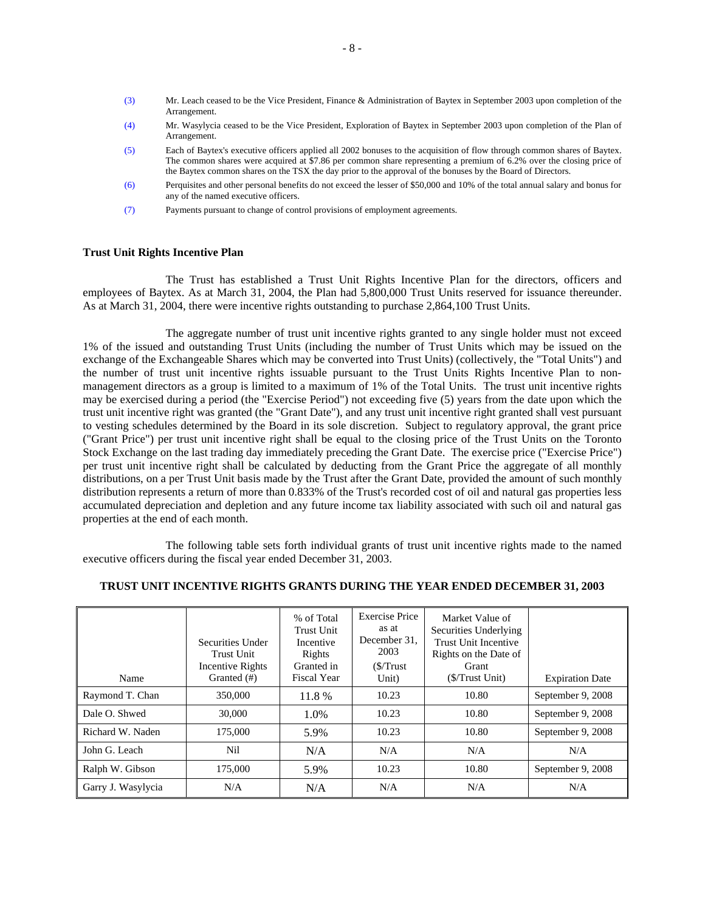- (3) Mr. Leach ceased to be the Vice President, Finance & Administration of Baytex in September 2003 upon completion of the Arrangement.
- (4) Mr. Wasylycia ceased to be the Vice President, Exploration of Baytex in September 2003 upon completion of the Plan of Arrangement.
- (5) Each of Baytex's executive officers applied all 2002 bonuses to the acquisition of flow through common shares of Baytex. The common shares were acquired at \$7.86 per common share representing a premium of 6.2% over the closing price of the Baytex common shares on the TSX the day prior to the approval of the bonuses by the Board of Directors.
- (6) Perquisites and other personal benefits do not exceed the lesser of \$50,000 and 10% of the total annual salary and bonus for any of the named executive officers.
- (7) Payments pursuant to change of control provisions of employment agreements.

#### **Trust Unit Rights Incentive Plan**

The Trust has established a Trust Unit Rights Incentive Plan for the directors, officers and employees of Baytex. As at March 31, 2004, the Plan had 5,800,000 Trust Units reserved for issuance thereunder. As at March 31, 2004, there were incentive rights outstanding to purchase 2,864,100 Trust Units.

The aggregate number of trust unit incentive rights granted to any single holder must not exceed 1% of the issued and outstanding Trust Units (including the number of Trust Units which may be issued on the exchange of the Exchangeable Shares which may be converted into Trust Units) (collectively, the "Total Units") and the number of trust unit incentive rights issuable pursuant to the Trust Units Rights Incentive Plan to nonmanagement directors as a group is limited to a maximum of 1% of the Total Units. The trust unit incentive rights may be exercised during a period (the "Exercise Period") not exceeding five (5) years from the date upon which the trust unit incentive right was granted (the "Grant Date"), and any trust unit incentive right granted shall vest pursuant to vesting schedules determined by the Board in its sole discretion. Subject to regulatory approval, the grant price ("Grant Price") per trust unit incentive right shall be equal to the closing price of the Trust Units on the Toronto Stock Exchange on the last trading day immediately preceding the Grant Date. The exercise price ("Exercise Price") per trust unit incentive right shall be calculated by deducting from the Grant Price the aggregate of all monthly distributions, on a per Trust Unit basis made by the Trust after the Grant Date, provided the amount of such monthly distribution represents a return of more than 0.833% of the Trust's recorded cost of oil and natural gas properties less accumulated depreciation and depletion and any future income tax liability associated with such oil and natural gas properties at the end of each month.

The following table sets forth individual grants of trust unit incentive rights made to the named executive officers during the fiscal year ended December 31, 2003.

|                    | Securities Under<br>Trust Unit<br>Incentive Rights | % of Total<br><b>Trust Unit</b><br>Incentive<br>Rights<br>Granted in | <b>Exercise Price</b><br>as at<br>December 31,<br>2003<br>(S/Trust) | Market Value of<br>Securities Underlying<br><b>Trust Unit Incentive</b><br>Rights on the Date of<br>Grant |                        |
|--------------------|----------------------------------------------------|----------------------------------------------------------------------|---------------------------------------------------------------------|-----------------------------------------------------------------------------------------------------------|------------------------|
| Name               | Granted (#)                                        | <b>Fiscal Year</b>                                                   | Unit)                                                               | (S/Trust Unit)                                                                                            | <b>Expiration Date</b> |
| Raymond T. Chan    | 350,000                                            | 11.8%                                                                | 10.23                                                               | 10.80                                                                                                     | September 9, 2008      |
| Dale O. Shwed      | 30,000                                             | 1.0%                                                                 | 10.23                                                               | 10.80                                                                                                     | September 9, 2008      |
| Richard W. Naden   | 175,000                                            | 5.9%                                                                 | 10.23                                                               | 10.80                                                                                                     | September 9, 2008      |
| John G. Leach      | Nil                                                | N/A                                                                  | N/A                                                                 | N/A                                                                                                       | N/A                    |
| Ralph W. Gibson    | 175,000                                            | 5.9%                                                                 | 10.23                                                               | 10.80                                                                                                     | September 9, 2008      |
| Garry J. Wasylycia | N/A                                                | N/A                                                                  | N/A                                                                 | N/A                                                                                                       | N/A                    |

#### **TRUST UNIT INCENTIVE RIGHTS GRANTS DURING THE YEAR ENDED DECEMBER 31, 2003**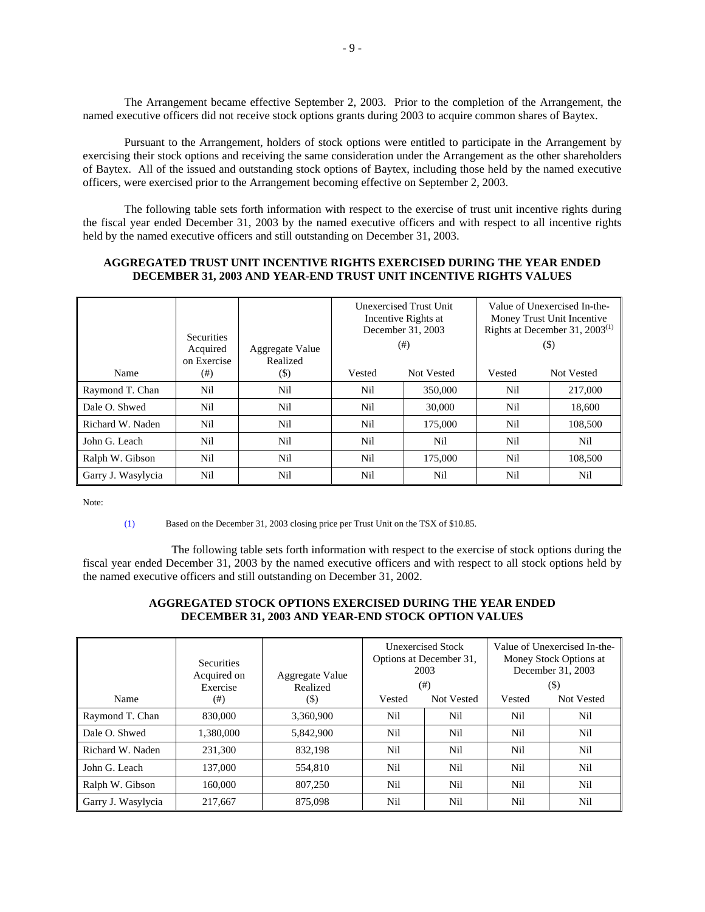The Arrangement became effective September 2, 2003. Prior to the completion of the Arrangement, the named executive officers did not receive stock options grants during 2003 to acquire common shares of Baytex.

Pursuant to the Arrangement, holders of stock options were entitled to participate in the Arrangement by exercising their stock options and receiving the same consideration under the Arrangement as the other shareholders of Baytex. All of the issued and outstanding stock options of Baytex, including those held by the named executive officers, were exercised prior to the Arrangement becoming effective on September 2, 2003.

The following table sets forth information with respect to the exercise of trust unit incentive rights during the fiscal year ended December 31, 2003 by the named executive officers and with respect to all incentive rights held by the named executive officers and still outstanding on December 31, 2003.

#### **AGGREGATED TRUST UNIT INCENTIVE RIGHTS EXERCISED DURING THE YEAR ENDED DECEMBER 31, 2003 AND YEAR-END TRUST UNIT INCENTIVE RIGHTS VALUES**

|                    | <b>Securities</b><br>Acquired<br>on Exercise | Aggregate Value<br>Realized |        | Unexercised Trust Unit<br>Incentive Rights at<br>December 31, 2003<br>$^{(+)}$ | Rights at December 31, $2003^{(1)}$<br>$($ \$) | Value of Unexercised In-the-<br>Money Trust Unit Incentive |
|--------------------|----------------------------------------------|-----------------------------|--------|--------------------------------------------------------------------------------|------------------------------------------------|------------------------------------------------------------|
| Name               | $^{(#)}$                                     | $(\boldsymbol{\mathsf{S}})$ | Vested | Not Vested                                                                     | Vested                                         | Not Vested                                                 |
| Raymond T. Chan    | Nil                                          | Nil                         | Nil    | 350,000                                                                        | Nil                                            | 217,000                                                    |
| Dale O. Shwed      | Nil                                          | Nil                         | Nil    | 30,000                                                                         | Nil                                            | 18,600                                                     |
| Richard W. Naden   | Nil                                          | Nil                         | Nil    | 175,000                                                                        | Nil                                            | 108,500                                                    |
| John G. Leach      | Nil                                          | Nil                         | Nil    | Nil                                                                            | Nil                                            | Nil                                                        |
| Ralph W. Gibson    | Nil                                          | Nil                         | Nil    | 175,000                                                                        | Nil                                            | 108,500                                                    |
| Garry J. Wasylycia | Nil                                          | Nil                         | Nil    | Nil                                                                            | Nil                                            | Nil                                                        |

Note:

(1) Based on the December 31, 2003 closing price per Trust Unit on the TSX of \$10.85.

 The following table sets forth information with respect to the exercise of stock options during the fiscal year ended December 31, 2003 by the named executive officers and with respect to all stock options held by the named executive officers and still outstanding on December 31, 2002.

# **AGGREGATED STOCK OPTIONS EXERCISED DURING THE YEAR ENDED DECEMBER 31, 2003 AND YEAR-END STOCK OPTION VALUES**

|                    | <b>Securities</b><br>Acquired on<br>Exercise | Aggregate Value<br>Realized | 2003   | Unexercised Stock<br>Options at December 31,<br>(# ) |        | Value of Unexercised In-the-<br>Money Stock Options at<br>December 31, 2003<br>(\$) |
|--------------------|----------------------------------------------|-----------------------------|--------|------------------------------------------------------|--------|-------------------------------------------------------------------------------------|
| Name               | $^{(+)}$                                     | (\$)                        | Vested | Not Vested                                           | Vested | Not Vested                                                                          |
| Raymond T. Chan    | 830,000                                      | 3,360,900                   | Nil    | Nil                                                  | Nil    | Nil                                                                                 |
| Dale O. Shwed      | 1,380,000                                    | 5,842,900                   | Nil    | Nil                                                  | Nil    | Nil                                                                                 |
| Richard W. Naden   | 231,300                                      | 832,198                     | Nil    | Nil                                                  | Nil    | Nil                                                                                 |
| John G. Leach      | 137.000                                      | 554,810                     | Nil    | Nil                                                  | Nil    | Nil                                                                                 |
| Ralph W. Gibson    | 160.000                                      | 807,250                     | Nil    | Nil                                                  | Nil    | Nil                                                                                 |
| Garry J. Wasylycia | 217.667                                      | 875,098                     | Nil    | Nil                                                  | Nil    | Nil                                                                                 |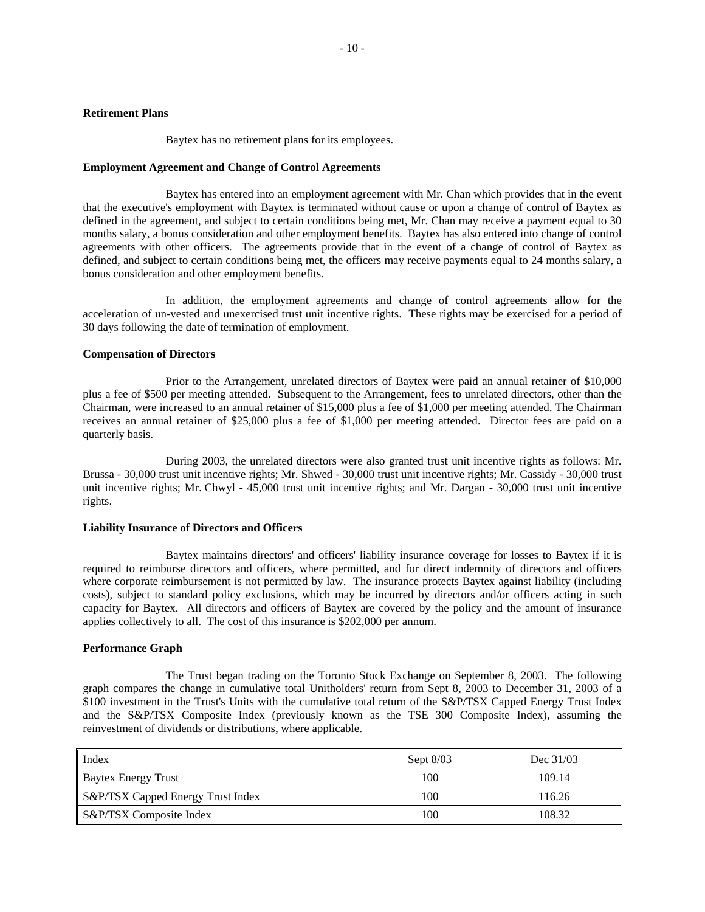Baytex has no retirement plans for its employees.

#### **Employment Agreement and Change of Control Agreements**

Baytex has entered into an employment agreement with Mr. Chan which provides that in the event that the executive's employment with Baytex is terminated without cause or upon a change of control of Baytex as defined in the agreement, and subject to certain conditions being met, Mr. Chan may receive a payment equal to 30 months salary, a bonus consideration and other employment benefits. Baytex has also entered into change of control agreements with other officers. The agreements provide that in the event of a change of control of Baytex as defined, and subject to certain conditions being met, the officers may receive payments equal to 24 months salary, a bonus consideration and other employment benefits.

In addition, the employment agreements and change of control agreements allow for the acceleration of un-vested and unexercised trust unit incentive rights. These rights may be exercised for a period of 30 days following the date of termination of employment.

#### **Compensation of Directors**

Prior to the Arrangement, unrelated directors of Baytex were paid an annual retainer of \$10,000 plus a fee of \$500 per meeting attended. Subsequent to the Arrangement, fees to unrelated directors, other than the Chairman, were increased to an annual retainer of \$15,000 plus a fee of \$1,000 per meeting attended. The Chairman receives an annual retainer of \$25,000 plus a fee of \$1,000 per meeting attended. Director fees are paid on a quarterly basis.

During 2003, the unrelated directors were also granted trust unit incentive rights as follows: Mr. Brussa - 30,000 trust unit incentive rights; Mr. Shwed - 30,000 trust unit incentive rights; Mr. Cassidy - 30,000 trust unit incentive rights; Mr. Chwyl - 45,000 trust unit incentive rights; and Mr. Dargan - 30,000 trust unit incentive rights.

#### **Liability Insurance of Directors and Officers**

Baytex maintains directors' and officers' liability insurance coverage for losses to Baytex if it is required to reimburse directors and officers, where permitted, and for direct indemnity of directors and officers where corporate reimbursement is not permitted by law. The insurance protects Baytex against liability (including costs), subject to standard policy exclusions, which may be incurred by directors and/or officers acting in such capacity for Baytex. All directors and officers of Baytex are covered by the policy and the amount of insurance applies collectively to all. The cost of this insurance is \$202,000 per annum.

#### **Performance Graph**

The Trust began trading on the Toronto Stock Exchange on September 8, 2003. The following graph compares the change in cumulative total Unitholders' return from Sept 8, 2003 to December 31, 2003 of a \$100 investment in the Trust's Units with the cumulative total return of the S&P/TSX Capped Energy Trust Index and the S&P/TSX Composite Index (previously known as the TSE 300 Composite Index), assuming the reinvestment of dividends or distributions, where applicable.

| Index                              | Sept $8/03$ | Dec 31/03 |
|------------------------------------|-------------|-----------|
| <b>Baytex Energy Trust</b>         | 100         | 109.14    |
| S&P/TSX Capped Energy Trust Index  | 100         | 116.26    |
| <b>S&amp;P/TSX</b> Composite Index | 100         | 108.32    |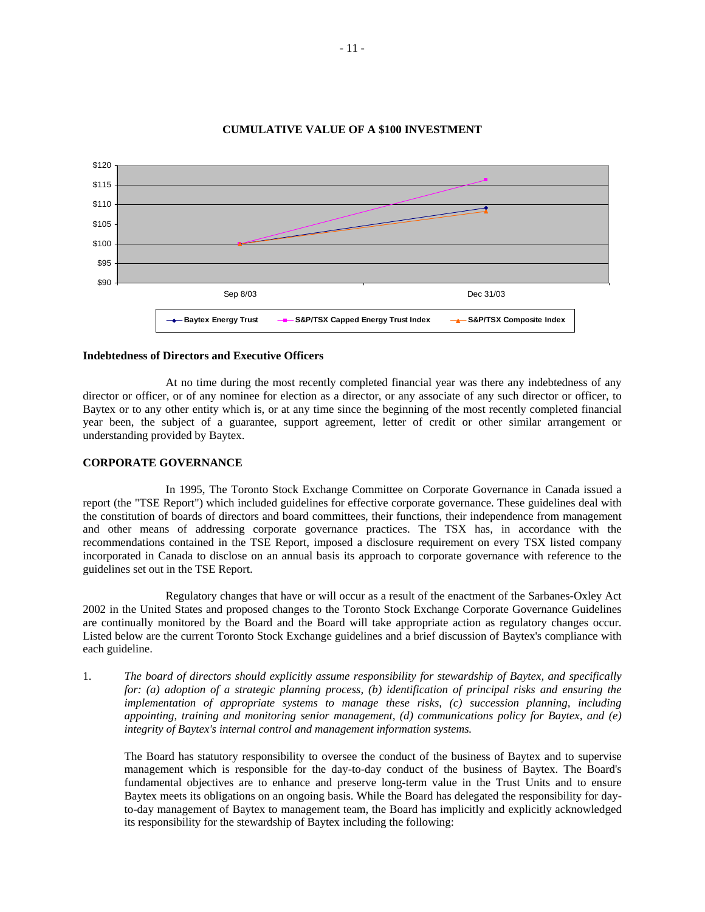

### **CUMULATIVE VALUE OF A \$100 INVESTMENT**

#### **Indebtedness of Directors and Executive Officers**

At no time during the most recently completed financial year was there any indebtedness of any director or officer, or of any nominee for election as a director, or any associate of any such director or officer, to Baytex or to any other entity which is, or at any time since the beginning of the most recently completed financial year been, the subject of a guarantee, support agreement, letter of credit or other similar arrangement or understanding provided by Baytex.

#### **CORPORATE GOVERNANCE**

In 1995, The Toronto Stock Exchange Committee on Corporate Governance in Canada issued a report (the "TSE Report") which included guidelines for effective corporate governance. These guidelines deal with the constitution of boards of directors and board committees, their functions, their independence from management and other means of addressing corporate governance practices. The TSX has, in accordance with the recommendations contained in the TSE Report, imposed a disclosure requirement on every TSX listed company incorporated in Canada to disclose on an annual basis its approach to corporate governance with reference to the guidelines set out in the TSE Report.

Regulatory changes that have or will occur as a result of the enactment of the Sarbanes-Oxley Act 2002 in the United States and proposed changes to the Toronto Stock Exchange Corporate Governance Guidelines are continually monitored by the Board and the Board will take appropriate action as regulatory changes occur. Listed below are the current Toronto Stock Exchange guidelines and a brief discussion of Baytex's compliance with each guideline.

1. *The board of directors should explicitly assume responsibility for stewardship of Baytex, and specifically for: (a) adoption of a strategic planning process, (b) identification of principal risks and ensuring the implementation of appropriate systems to manage these risks, (c) succession planning, including appointing, training and monitoring senior management, (d) communications policy for Baytex, and (e) integrity of Baytex's internal control and management information systems.* 

The Board has statutory responsibility to oversee the conduct of the business of Baytex and to supervise management which is responsible for the day-to-day conduct of the business of Baytex. The Board's fundamental objectives are to enhance and preserve long-term value in the Trust Units and to ensure Baytex meets its obligations on an ongoing basis. While the Board has delegated the responsibility for dayto-day management of Baytex to management team, the Board has implicitly and explicitly acknowledged its responsibility for the stewardship of Baytex including the following: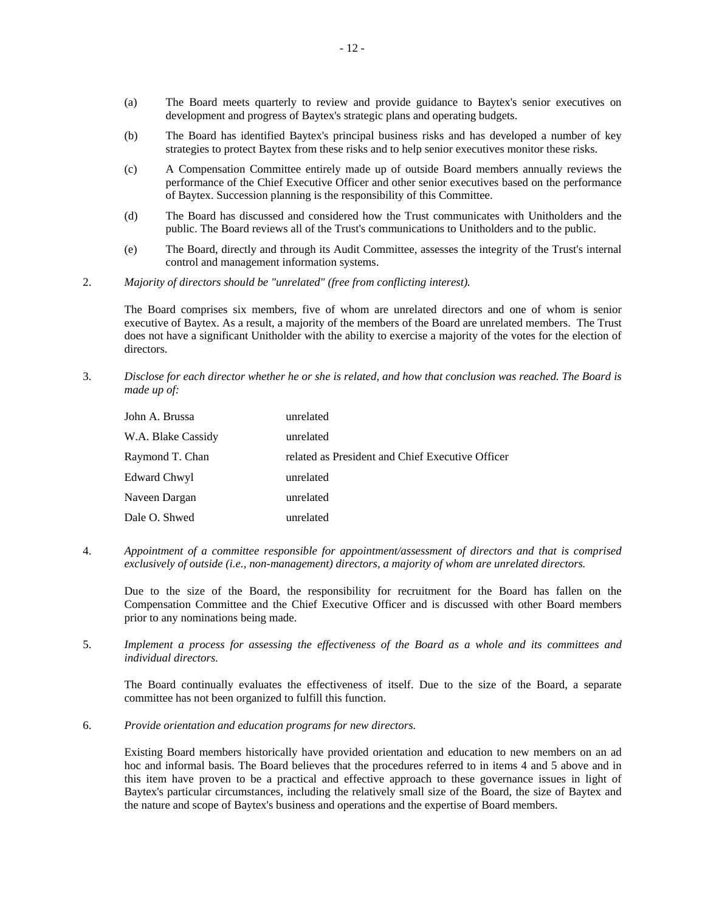- (a) The Board meets quarterly to review and provide guidance to Baytex's senior executives on development and progress of Baytex's strategic plans and operating budgets.
- (b) The Board has identified Baytex's principal business risks and has developed a number of key strategies to protect Baytex from these risks and to help senior executives monitor these risks.
- (c) A Compensation Committee entirely made up of outside Board members annually reviews the performance of the Chief Executive Officer and other senior executives based on the performance of Baytex. Succession planning is the responsibility of this Committee.
- (d) The Board has discussed and considered how the Trust communicates with Unitholders and the public. The Board reviews all of the Trust's communications to Unitholders and to the public.
- (e) The Board, directly and through its Audit Committee, assesses the integrity of the Trust's internal control and management information systems.
- 2. *Majority of directors should be "unrelated" (free from conflicting interest).*

The Board comprises six members, five of whom are unrelated directors and one of whom is senior executive of Baytex. As a result, a majority of the members of the Board are unrelated members. The Trust does not have a significant Unitholder with the ability to exercise a majority of the votes for the election of directors.

3. *Disclose for each director whether he or she is related, and how that conclusion was reached. The Board is made up of:* 

| John A. Brussa     | unrelated                                        |
|--------------------|--------------------------------------------------|
| W.A. Blake Cassidy | unrelated                                        |
| Raymond T. Chan    | related as President and Chief Executive Officer |
| Edward Chwyl       | unrelated                                        |
| Naveen Dargan      | unrelated                                        |
| Dale O. Shwed      | unrelated                                        |

4. *Appointment of a committee responsible for appointment/assessment of directors and that is comprised exclusively of outside (i.e., non-management) directors, a majority of whom are unrelated directors.* 

Due to the size of the Board, the responsibility for recruitment for the Board has fallen on the Compensation Committee and the Chief Executive Officer and is discussed with other Board members prior to any nominations being made.

5. *Implement a process for assessing the effectiveness of the Board as a whole and its committees and individual directors.* 

The Board continually evaluates the effectiveness of itself. Due to the size of the Board, a separate committee has not been organized to fulfill this function.

6. *Provide orientation and education programs for new directors.* 

Existing Board members historically have provided orientation and education to new members on an ad hoc and informal basis. The Board believes that the procedures referred to in items 4 and 5 above and in this item have proven to be a practical and effective approach to these governance issues in light of Baytex's particular circumstances, including the relatively small size of the Board, the size of Baytex and the nature and scope of Baytex's business and operations and the expertise of Board members.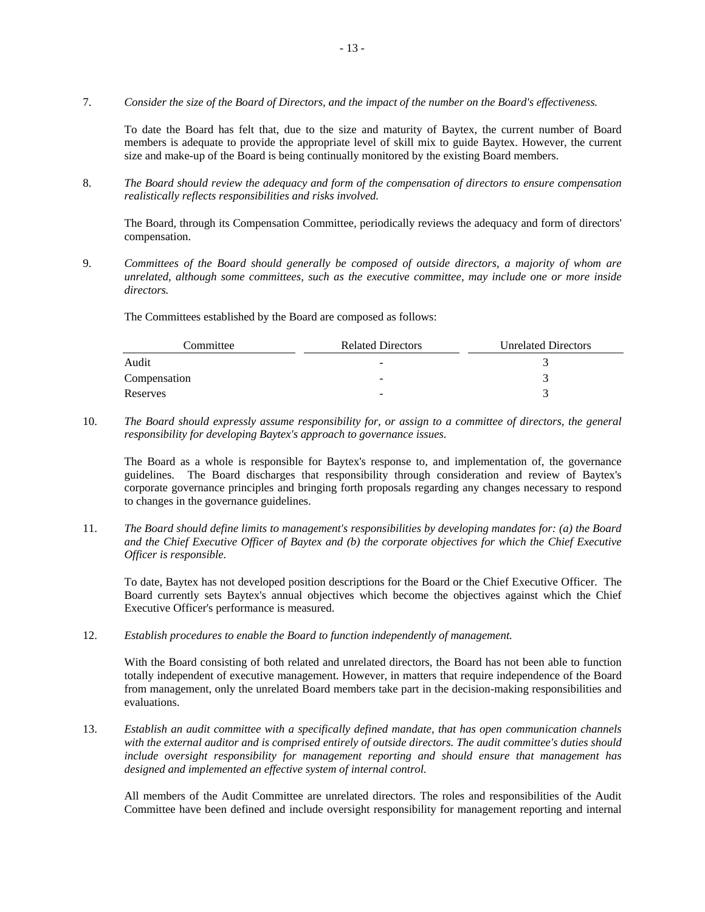7. *Consider the size of the Board of Directors, and the impact of the number on the Board's effectiveness.* 

To date the Board has felt that, due to the size and maturity of Baytex, the current number of Board members is adequate to provide the appropriate level of skill mix to guide Baytex. However, the current size and make-up of the Board is being continually monitored by the existing Board members.

8. *The Board should review the adequacy and form of the compensation of directors to ensure compensation realistically reflects responsibilities and risks involved.* 

The Board, through its Compensation Committee, periodically reviews the adequacy and form of directors' compensation.

9. *Committees of the Board should generally be composed of outside directors, a majority of whom are unrelated, although some committees, such as the executive committee, may include one or more inside directors.* 

The Committees established by the Board are composed as follows:

| Committee    | <b>Related Directors</b> | <b>Unrelated Directors</b> |
|--------------|--------------------------|----------------------------|
| Audit        | $\overline{\phantom{a}}$ |                            |
| Compensation | $\overline{\phantom{0}}$ |                            |
| Reserves     | $\sim$                   |                            |

10. *The Board should expressly assume responsibility for, or assign to a committee of directors, the general responsibility for developing Baytex's approach to governance issues.* 

The Board as a whole is responsible for Baytex's response to, and implementation of, the governance guidelines. The Board discharges that responsibility through consideration and review of Baytex's corporate governance principles and bringing forth proposals regarding any changes necessary to respond to changes in the governance guidelines.

11. *The Board should define limits to management's responsibilities by developing mandates for: (a) the Board and the Chief Executive Officer of Baytex and (b) the corporate objectives for which the Chief Executive Officer is responsible.* 

To date, Baytex has not developed position descriptions for the Board or the Chief Executive Officer. The Board currently sets Baytex's annual objectives which become the objectives against which the Chief Executive Officer's performance is measured.

12. *Establish procedures to enable the Board to function independently of management.* 

With the Board consisting of both related and unrelated directors, the Board has not been able to function totally independent of executive management. However, in matters that require independence of the Board from management, only the unrelated Board members take part in the decision-making responsibilities and evaluations.

13. *Establish an audit committee with a specifically defined mandate, that has open communication channels with the external auditor and is comprised entirely of outside directors. The audit committee's duties should include oversight responsibility for management reporting and should ensure that management has designed and implemented an effective system of internal control.* 

All members of the Audit Committee are unrelated directors. The roles and responsibilities of the Audit Committee have been defined and include oversight responsibility for management reporting and internal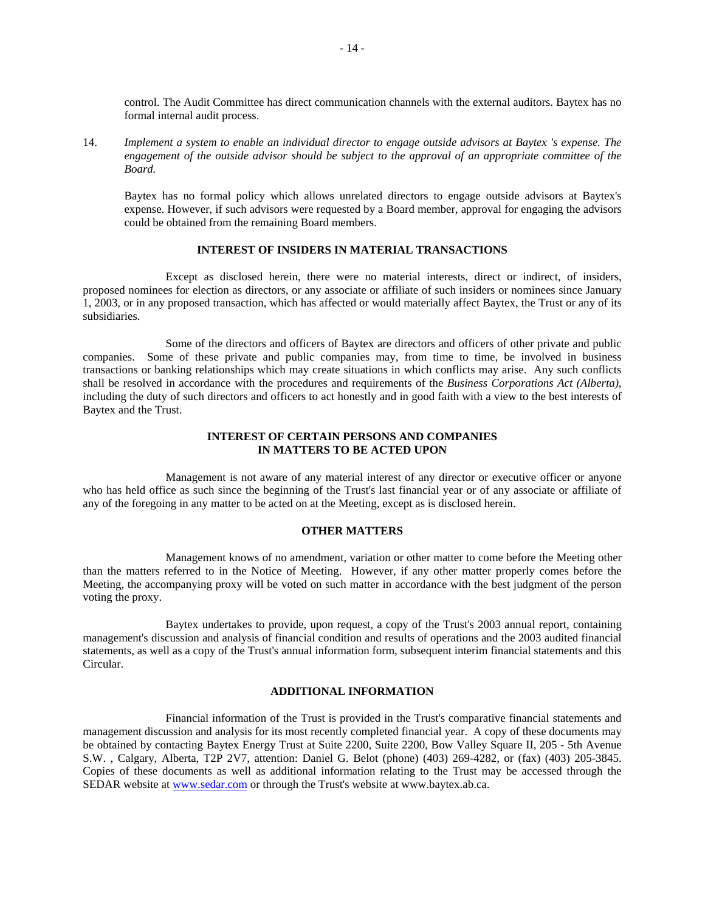control. The Audit Committee has direct communication channels with the external auditors. Baytex has no formal internal audit process.

14. *Implement a system to enable an individual director to engage outside advisors at Baytex 's expense. The engagement of the outside advisor should be subject to the approval of an appropriate committee of the Board.* 

Baytex has no formal policy which allows unrelated directors to engage outside advisors at Baytex's expense. However, if such advisors were requested by a Board member, approval for engaging the advisors could be obtained from the remaining Board members.

#### **INTEREST OF INSIDERS IN MATERIAL TRANSACTIONS**

Except as disclosed herein, there were no material interests, direct or indirect, of insiders, proposed nominees for election as directors, or any associate or affiliate of such insiders or nominees since January 1, 2003, or in any proposed transaction, which has affected or would materially affect Baytex, the Trust or any of its subsidiaries.

Some of the directors and officers of Baytex are directors and officers of other private and public companies. Some of these private and public companies may, from time to time, be involved in business transactions or banking relationships which may create situations in which conflicts may arise. Any such conflicts shall be resolved in accordance with the procedures and requirements of the *Business Corporations Act (Alberta)*, including the duty of such directors and officers to act honestly and in good faith with a view to the best interests of Baytex and the Trust.

# **INTEREST OF CERTAIN PERSONS AND COMPANIES IN MATTERS TO BE ACTED UPON**

Management is not aware of any material interest of any director or executive officer or anyone who has held office as such since the beginning of the Trust's last financial year or of any associate or affiliate of any of the foregoing in any matter to be acted on at the Meeting, except as is disclosed herein.

#### **OTHER MATTERS**

Management knows of no amendment, variation or other matter to come before the Meeting other than the matters referred to in the Notice of Meeting. However, if any other matter properly comes before the Meeting, the accompanying proxy will be voted on such matter in accordance with the best judgment of the person voting the proxy.

Baytex undertakes to provide, upon request, a copy of the Trust's 2003 annual report, containing management's discussion and analysis of financial condition and results of operations and the 2003 audited financial statements, as well as a copy of the Trust's annual information form, subsequent interim financial statements and this Circular.

#### **ADDITIONAL INFORMATION**

Financial information of the Trust is provided in the Trust's comparative financial statements and management discussion and analysis for its most recently completed financial year. A copy of these documents may be obtained by contacting Baytex Energy Trust at Suite 2200, Suite 2200, Bow Valley Square II, 205 - 5th Avenue S.W. , Calgary, Alberta, T2P 2V7, attention: Daniel G. Belot (phone) (403) 269-4282, or (fax) (403) 205-3845. Copies of these documents as well as additional information relating to the Trust may be accessed through the SEDAR website at www.sedar.com or through the Trust's website at www.baytex.ab.ca.